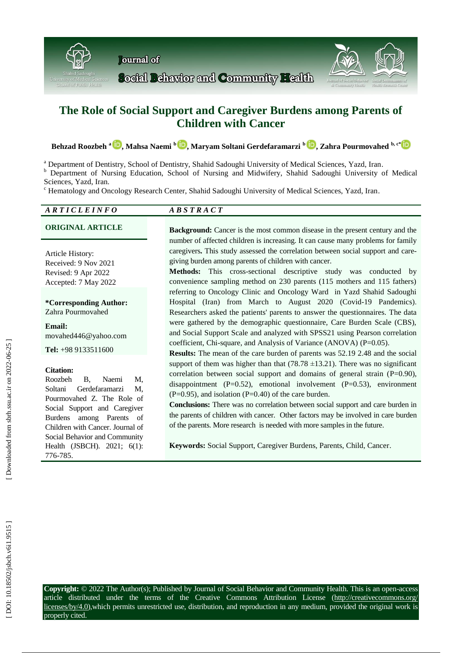



**Behzad Roozbeh a [,](https://orcid.org/0000-0003-2057-7109) Mahsa Naemi b , Maryam Soltani Gerdefaramarzi b [,](https://orcid.org/0000-0001-7619-8517) Zahra Pourmovahed b, c[\\*](https://orcid.org/0000-0002-6512-2768)**

<sup>a</sup> Department of Dentistry, School of Dentistry, Shahid Sadoughi University of Medical Sciences, Yazd, Iran.

**b** Department of Nursing Education, School of Nursing and Midwifery, Shahid Sadoughi University of Medical Sciences, Yazd, Iran.<br><sup>c</sup> Hematology and Oncology Research Center, Shahid Sadoughi University of Medical Sciences, Yazd, Iran.

| <b>ARTICLEINFO</b>                                                                                                                                                                                                                                                  | <b>ABSTRACT</b>                                                                                                                                                                                                                                                                                                                                                                                                                                                                                                                                                     |
|---------------------------------------------------------------------------------------------------------------------------------------------------------------------------------------------------------------------------------------------------------------------|---------------------------------------------------------------------------------------------------------------------------------------------------------------------------------------------------------------------------------------------------------------------------------------------------------------------------------------------------------------------------------------------------------------------------------------------------------------------------------------------------------------------------------------------------------------------|
| <b>ORIGINAL ARTICLE</b>                                                                                                                                                                                                                                             | Background: Cancer is the most common disease in the present century and the                                                                                                                                                                                                                                                                                                                                                                                                                                                                                        |
| Article History:<br>Received: 9 Nov 2021<br>Revised: 9 Apr 2022<br>Accepted: 7 May 2022                                                                                                                                                                             | number of affected children is increasing. It can cause many problems for family<br>caregivers. This study assessed the correlation between social support and care-<br>giving burden among parents of children with cancer.<br>Methods: This cross-sectional descriptive study was conducted by<br>convenience sampling method on 230 parents (115 mothers and 115 fathers)<br>referring to Oncology Clinic and Oncology Ward in Yazd Shahid Sadoughi                                                                                                              |
| *Corresponding Author:<br>Zahra Pourmovahed                                                                                                                                                                                                                         | Hospital (Iran) from March to August 2020 (Covid-19 Pandemics).<br>Researchers asked the patients' parents to answer the questionnaires. The data                                                                                                                                                                                                                                                                                                                                                                                                                   |
| Email:<br>movahed446@yahoo.com                                                                                                                                                                                                                                      | were gathered by the demographic questionnaire, Care Burden Scale (CBS),<br>and Social Support Scale and analyzed with SPSS21 using Pearson correlation<br>coefficient, Chi-square, and Analysis of Variance (ANOVA) (P=0.05).                                                                                                                                                                                                                                                                                                                                      |
| Tel: $+989133511600$                                                                                                                                                                                                                                                | Results: The mean of the care burden of parents was 52.19 2.48 and the social                                                                                                                                                                                                                                                                                                                                                                                                                                                                                       |
| <b>Citation:</b><br>Roozbeh<br><b>B.</b><br>Naemi<br>M,<br>Soltani<br>Gerdefaramarzi<br>M.<br>Pourmovahed Z. The Role of<br>Social Support and Caregiver<br>among Parents of<br><b>Burdens</b><br>Children with Cancer. Journal of<br>Social Behavior and Community | support of them was higher than that $(78.78 \pm 13.21)$ . There was no significant<br>correlation between social support and domains of general strain $(P=0.90)$ ,<br>disappointment $(P=0.52)$ , emotional involvement $(P=0.53)$ , environment<br>$(P=0.95)$ , and isolation $(P=0.40)$ of the care burden.<br>Conclusions: There was no correlation between social support and care burden in<br>the parents of children with cancer. Other factors may be involved in care burden<br>of the parents. More research is needed with more samples in the future. |
| Health (JSBCH). 2021; 6(1):<br>776-785.                                                                                                                                                                                                                             | Keywords: Social Support, Caregiver Burdens, Parents, Child, Cancer.                                                                                                                                                                                                                                                                                                                                                                                                                                                                                                |

**Copyright:** © 2022 The Author(s); Published by Journal of Social Behavior and Community Health. This is an open -access article distributed under the terms of the Creative Commons Attribution License (http://creativecommons.org/ licenses/by/4.0),which permits unrestricted use, distribution, and reproduction in any medium, provided the original work is properly cited.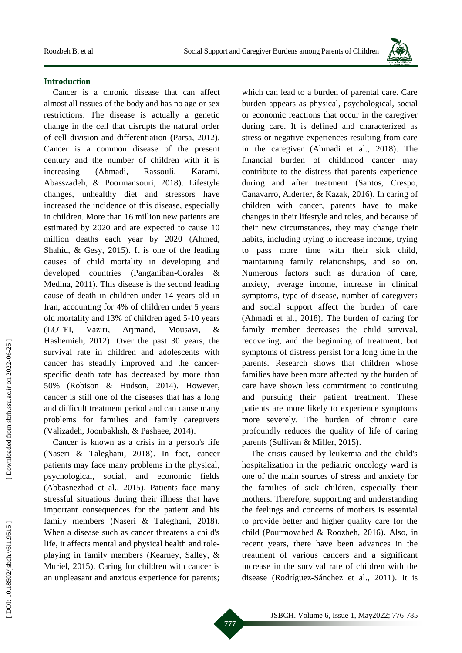

### **Introduction**

Cancer is a chronic disease that can affect almost all tissues of the body and has no age or sex restrictions. The disease is actually a genetic change in the cell that disrupts the natural order of cell division and differentiation (Parsa, 2012) . Cancer is a common disease of the present century and the number of children with it is increasing (Ahmadi, Rassouli, Karami, Abasszadeh, & Poormansouri, 2018) . Lifestyle changes, unhealthy diet and stressors have increased the incidence of this disease, especially in children. More than 16 million new patients are estimated by 2020 and are expected to cause 10 million deaths each year by 2020 (Ahmed, Shahid, & Gesy, 2015) . It is one of the leading causes of child mortality in developing and developed countries (Panganiban -Corales & Medina, 2011) . This disease is the second leading cause of death in children under 14 years old in Iran, accounting for 4% of children under 5 years old mortality and 13% of children aged 5 -10 years (LOTFI, Vaziri, Arjmand, Mousavi, & Hashemieh, 2012) . Over the past 30 years, the survival rate in children and adolescents with cancer has steadily improved and the cancer specific death rate has decreased by more than 50% (Robison & Hudson, 2014) . However, cancer is still one of the diseases that has a long and difficult treatment period and can cause many problems for families and family caregivers (Valizadeh, Joonbakhsh, & Pashaee, 2014) .

Cancer is known as a crisis in a person's life (Naseri & Taleghani, 2018) . In fact, cancer patients may face many problems in the physical, psychological, social, and economic fields (Abbasnezhad et al., 2015) . Patients face many stressful situations during their illness that have important consequences for the patient and his family members (Naseri & Taleghani, 2018). When a disease such as cancer threatens a child's life, it affects mental and physical health and role playing in family members (Kearney, Salley, & Muriel, 2015). Caring for children with cancer is an unpleasant and anxious experience for parents;

which can lead to a burden of parental care. Care burden appears as physical, psychological, social or economic reactions that occur in the caregiver during care . It is defined and characterized as stress or negative experiences resulting from care in the caregiver (Ahmadi et al., 2018) . The financial burden of childhood cancer may contribute to the distress that parents experience during and after treatment (Santos, Crespo, Canavarro, Alderfer, & Kazak, 2016) . In caring of children with cancer, parents have to make changes in their lifestyle and roles, and because of their new circumstances, they may change their habits, including trying to increase income, trying to pass more time with their sick child, maintaining family relationships, and so on. Numerous factors such as duration of care, anxiety, average income, increase in clinical symptoms, type of disease, number of caregivers and social support affect the burden of care (Ahmadi et al., 2018) . The burden of caring for family member decrease s the child survival, recovering , and the beginning of treatment, but symptoms of distress persist for a long time in the parents. Research shows that children whose families have been more affected by the burden of care have shown less commitment to continuing and pursuing their patient treatment. These patients are more likely to experience symptoms more severely. The burden of chronic care profoundly reduces the quality of life of caring parents (Sullivan & Miller, 2015) .

The crisis caused by leukemia and the child's hospitalization in the pediatric oncology ward is one of the main sources of stress and anxiety for the families of sick children, especially their mothers. Therefore, supporting and understanding the feelings and concerns of mothers is essential to provide better and higher quality care for the child (Pourmovahed & Roozbeh, 2016) . Also, in recent years, there have been advances in the treatment of various cancers and a significant increase in the survival rate of children with the disease (Rodríguez -Sánchez et al., 2011) . It is

Downloaded from sbrh.ssu.ac.ir on 2022-06-25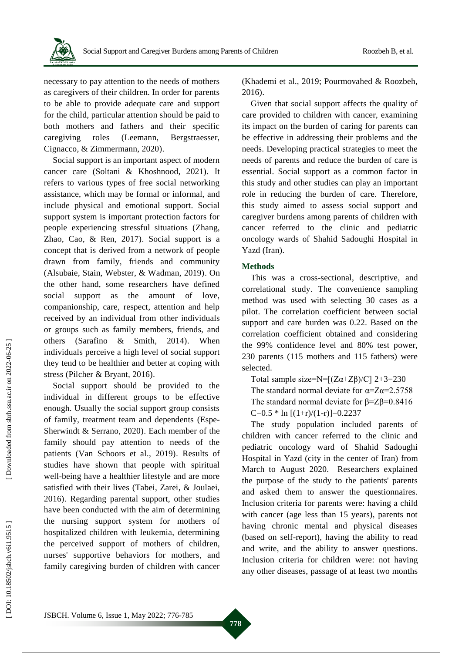

necessary to pay attention to the needs of mothers as caregivers of their children. In order for parents to be able to provide adequate care and support for the child, particular attention should be paid to both mothers and fathers and their specific caregiving roles (Leemann, Bergstraesser, Cignacco, & Zimmermann, 2020) .

Social support is an important aspect of modern cancer care (Soltani & Khoshnood, 2021) . It refers to various types of free social networking assistance, which may be formal or informal, and include physical and emotional support. Social support system is important protection factors for people experiencing stressful situations (Zhang, Zhao, Cao, & Ren, 2017). Social support is a concept that is derived from a network of people drawn from family, friends and community (Alsubaie, Stain, Webster, & Wadman, 2019) . On the other hand, some researchers have defined social support as the amount of love, companionship, care, respect, attention and help received by an individual from other individuals or groups such as family members, friends, and others (Sarafino & Smith, 2014) . When individuals perceive a high level of social support they tend to be healthier and better at coping with stress (Pilcher & Bryant, 2016) .

Social support should be provided to the individual in different groups to be effective enough. Usually the social support group consists of family, treatment team and dependents (Espe - Sherwindt & Serrano, 2020) . Each member of the family should pay attention to needs of the patients (Van Schoors et al., 2019). Results of studies have shown that people with spiritual well -being have a healthier lifestyle and are more satisfied with their lives (Tabei, Zarei, & Joulaei, 2016) . Regarding parental support, other studies have been conducted with the aim of determining the nursing support system for mothers of hospitalized children with leukemia, determining the perceived support of mothers of children, nurses' supportive behaviors for mothers , and family caregiving burden of children with cancer

(Khademi et al., 2019; Pourmovahed & Roozbeh, 2016) .

Given that social support affects the quality of care provided to children with cancer, examining its impact on the burden of caring for parents can be effective in addressing their problems and the needs. Developing practical strategies to meet the needs of parents and reduce the burden of care is essential. Social support as a common factor in this study and other studies can play an important role in reducing the burden of care. Therefore, this study aimed to assess social support and caregiver burdens among parents of children with cancer referred to the clinic and pediatric oncology wards of Shahid Sadoughi Hospital in Yazd (Iran).

# **Methods**

This was a cross -sectional , descriptive, and correlational study. The convenience sampling method was used with selecting 30 cases as a pilot . The correlation coefficient between social support and care burden was 0.22. Based on the correlation coefficient obtained and considering the 99% confidence level and 80% test power, 230 parents (115 mothers and 115 fathers) were selected.

Total sample size=N= $[(Z\alpha+Z\beta)/C]$  2+3=230 The standard normal deviate for  $\alpha = Z\alpha = 2.5758$ The standard normal deviate for β=Zβ=0.8416 C=0.5  $*$  ln [(1+r)/(1-r)]=0.2237

The study population included parents of children with cancer referred to the clinic and pediatric oncology ward of Shahid Sadoughi Hospital in Yazd (city in the center of Iran) from March to August 2020. Researchers explained the purpose of the study to the patients' parents and asked them to answer the questionnaires. Inclusion criteria for parents were: having a child with cancer (age less than 15 years), parents not having chronic mental and physical diseases (based on self -report ) , having the ability to read and write , and the ability to answer questions . Inclusion criteria for children were: not having any other diseases, passage of at least two months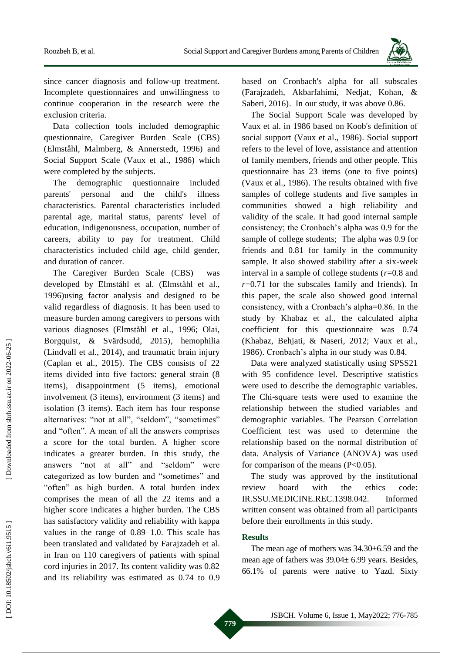

since cancer diagnosis and follow -up treatment. Incomplete questionnaire s and unwillingness to continue cooperation in the research were the exclusion criteria.

Data collection tools included demographic questionnaire, Caregiver Burden Scale (CBS) (Elmståhl, Malmberg, & Annerstedt, 1996) and Social Support Scale (Vaux et al., 1986) which were completed by the subjects.

The demographic questionnaire included parents' personal and the child's illness characteristics. Parental characteristics include d parental age, marital status, parents' level of education, indigenousness, occupation, number of careers, ability to pay for treatment . Child characteristics included child age, child gender , and duration of cancer.

The Caregiver Burden Scale (CBS) was developed by Elmståhl et al. (Elmståhl et al., 1996)using factor analysis and designed to be valid regardless of diagnosis . It has been used to measure burden among caregivers to persons with various diagnose s (Elmståhl et al., 1996; Olai, Borgquist, & Svärdsudd, 2015) , hemophilia (Lindvall et al., 2014), and traumatic brain injury (Caplan et al., 2015) . The CBS consists of 22 items divided into five factors: general strain (8 items), disappointment (5 items), emotional involvement (3 items), environment (3 items) and isolation (3 items). Each item has four response alternatives: "not at all", "seldom", "sometimes" and "often". A mean of all the answers comprises a score for the total burden. A higher score indicates a greater burden. In this study, the answers "not at all" and "seldom" were categorized as low burden and "sometimes" and "often" as high burden. A total burden index comprises the mean of all the 22 items and a higher score indicates a higher burden . The CBS has satisfactory validity and reliability with kappa values in the range of 0.89 –1.0. This scale has been translated and validated by Farajzadeh et al. in Iran on 110 caregivers of patients with spinal cord injuries in 2017. Its content validity was 0.82 and its reliability was estimated as 0.74 to 0.9

based on Cronbach's alpha for all subscales (Farajzadeh, Akbarfahimi, Nedjat, Kohan, & Saberi, 2016) . In our study, it was above 0.86.

The Social Support Scale was developed by Vaux et al. in 1986 based on Koob's definition of social support (Vaux et al., 1986). Social support refers to the level of love, assistance and attention of family members, friends and other people. This questionnaire has 23 items (one to five points) (Vaux et al., 1986). The results obtained with five samples of college students and five samples in communities showed a high reliability and validity of the scale. It had good internal sample consistency; the Cronbach's alpha was 0.9 for the sample of college students; The alpha was 0.9 for friends and 0.81 for family in the community sample. It also showed stability after a six -week interval in a sample of college students ( *r*=0.8 and  $r=0.71$  for the subscales family and friends). In this paper, the scale also showed good internal consistency, with a Cronbach's alpha=0.86. In the study by Khabaz et al. , the calculated alpha coefficient for this questionnaire was 0.74 (Khabaz, Behjati, & Naseri, 2012; Vaux et al., 1986) . Cronbach's alpha in our study was 0.84.

Data were analyzed statistically using SPSS21 with 95 confidence level. Descriptive statistics were used to describe the demographic variables. The Chi -square tests were used to examine the relationship between the studied variables and demographic variables. The Pearson Correlation Coefficient test was used to determine the relationship based on the normal distribution of data. Analysis of Variance (ANOVA ) was used for comparison of the means  $(P<0.05)$ .

The study was approved by the institutional review board with the ethics code: IR.SSU.MEDICINE.REC.1398.042. Informed written consent was obtained from all participants before their enrollments in this study.

### **Results**

The mean age of mothers was 34.30±6.59 and the mean age of fathers was 39.04± 6.99 years. Besides, 66.1% of parents were native to Yazd. Sixty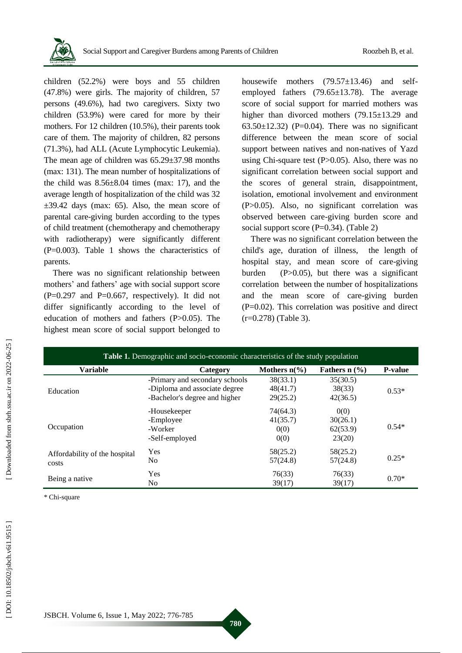

children (52.2%) were boys and 55 children (47.8%) were girls. The majority of children, 57 persons (49.6%) , had two caregivers. Sixty two children (53.9%) were cared for more by their mothers. For 12 children (10.5%), their parents took care of them. The majority of children, 82 persons (71.3%) , had ALL (Acute Lymphocytic Leukemia). The mean age of children was 65.29±37.98 months (max: 13 1 ). The mean number of hospitalizations of the child was  $8.56\pm8.04$  times (max: 17), and the average length of hospitalization of the child was 32  $\pm 39.42$  days (max: 65). Also, the mean score of parental care -giving burden according to the types of child treatment (chemotherapy and chemotherapy with radiotherapy) were significantly different (P=0.003). Table 1 shows the characteristics of parents.

There was no significant relationship between mothers ' and fathers ' age with social support score ( P=0.297 and P=0.667, respectively). It did not differ significantly according to the level of education of mothers and fathers (P>0.05). The highest mean score of social support belonged to

housewife mothers (79.57 $\pm$ 13.46) and selfemployed fathers (79.65±13.78). The average score of social support for married mothers was higher than divorced mothers (79.15±13.29 and  $63.50 \pm 12.32$ ) (P=0.04). There was no significant difference between the mean score of social support between natives and non -natives of Yazd using Chi-square test  $(P>0.05)$ . Also, there was no significant correlation between social support and the scores of general strain, disappointment, isolation, emotional involvement and environment (P>0.05) . Also, no significant correlation was observed between care -giving burden score and social support score (P=0.34). (Table 2)

There was no significant correlation between the child's age, duration of illness, the length of hospital stay , and mean score of care -giving burden (  $(P>0.05)$ , but there was a significant correlation between the number of hospitalizations and the mean score of care -giving burden ( P=0.02). This correlation was positive and direct (r=0.278) (Table 3).

| <b>Table 1.</b> Demographic and socio-economic characteristics of the study population |                                |                         |                     |                |  |  |  |  |
|----------------------------------------------------------------------------------------|--------------------------------|-------------------------|---------------------|----------------|--|--|--|--|
| <b>Variable</b>                                                                        | Category                       | Mothers $n\binom{0}{0}$ | Fathers $n$ $(\% )$ | <b>P-value</b> |  |  |  |  |
|                                                                                        | -Primary and secondary schools | 38(33.1)                | 35(30.5)            | $0.53*$        |  |  |  |  |
| Education                                                                              | -Diploma and associate degree  | 48(41.7)                | 38(33)              |                |  |  |  |  |
|                                                                                        | -Bachelor's degree and higher  | 29(25.2)                | 42(36.5)            |                |  |  |  |  |
|                                                                                        | -Housekeeper                   | 74(64.3)                | 0(0)                | $0.54*$        |  |  |  |  |
|                                                                                        | -Employee                      | 41(35.7)                | 30(26.1)            |                |  |  |  |  |
| Occupation                                                                             | -Worker                        | 0(0)                    | 62(53.9)            |                |  |  |  |  |
|                                                                                        | -Self-employed                 | 0(0)                    | 23(20)              |                |  |  |  |  |
| Affordability of the hospital                                                          | Yes                            | 58(25.2)                | 58(25.2)            |                |  |  |  |  |
| costs                                                                                  | No.                            | 57(24.8)                | 57(24.8)            | $0.25*$        |  |  |  |  |
|                                                                                        | Yes                            | 76(33)                  | 76(33)              | $0.70*$        |  |  |  |  |
| Being a native                                                                         | No.                            | 39(17)                  | 39(17)              |                |  |  |  |  |

**780**

\* Chi -square

Downloaded from sbrh.ssu.ac.ir on 2022-06-25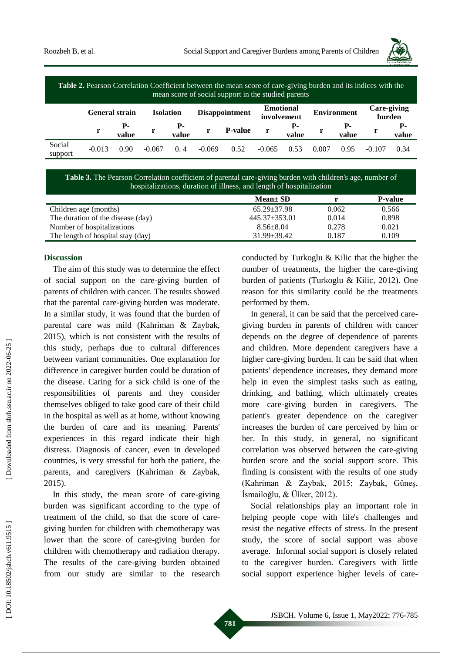

| Journal of Social Behavior<br>& Community Health |
|--------------------------------------------------|

| Table 2. Pearson Correlation Coefficient between the mean score of care-giving burden and its indices with the<br>mean score of social support in the studied parents |                       |       |                  |       |                       |                |                                 |       |                    |             |                              |       |
|-----------------------------------------------------------------------------------------------------------------------------------------------------------------------|-----------------------|-------|------------------|-------|-----------------------|----------------|---------------------------------|-------|--------------------|-------------|------------------------------|-------|
|                                                                                                                                                                       | <b>General strain</b> |       | <b>Isolation</b> |       | <b>Disappointment</b> |                | <b>Emotional</b><br>involvement |       | <b>Environment</b> |             | <b>Care-giving</b><br>burden |       |
|                                                                                                                                                                       |                       | value |                  | value |                       | <b>P-value</b> | r                               | value |                    | Р-<br>value |                              | value |
| Social<br>support                                                                                                                                                     | $-0.013$              | 0.90  | $-0.067$         | 0.4   | $-0.069$              | 0.52           | $-0.065$                        | 0.53  | 0.007              | 0.95        | $-0.107$                     | 0.34  |

#### Table 3. The Pearson Correlation coefficient of parental care-giving burden with children's age, number of hospitalizations, duration of illness , and length of hospitalization

|                                   | $Mean \pm SD$     |       | <b>P-value</b> |
|-----------------------------------|-------------------|-------|----------------|
| Children age (months)             | $65.29 \pm 37.98$ | 0.062 | 0.566          |
| The duration of the disease (day) | $445.37 + 353.01$ | 0.014 | 0.898          |
| Number of hospitalizations        | $8.56 + 8.04$     | 0.278 | 0.021          |
| The length of hospital stay (day) | $31.99 \pm 39.42$ | 0.187 | 0.109          |

#### **Discussion**

The aim of this study was to determine the effect of social support on the care -giving burden of parents of children with cancer. The results showed that the parental care -giving burden was moderate. In a similar study, it was found that the burden of parental care was mild (Kahriman & Zaybak, 2015) , which is not consistent with the results of this study, perhaps due to cultural differences between variant communities. One explanation for difference in caregiver burden could be duration of the disease. Caring for a sick child is one of the responsibilities of parents and they consider themselves obliged to take good care of their child in the hospital as well as at home, without knowing the burden of care and its meaning. Parents' experiences in this regard indicate their high distress. Diagnosis of cancer, even in developed countries, is very stressful for both the patient , the parents , and caregivers (Kahriman & Zaybak, 2015) .

In this study, the mean score of care -giving burden was significant according to the type of treatment of the child , so that the score of care giving burden for children with chemotherapy was lower than the score of care -giving burden for children with chemotherapy and radiation therapy. The results of the care -giving burden obtained from our study are similar to the research

conducted by Turkoglu & Kilic that the higher the number of treatments, the higher the care -giving burden of patients (Turkoglu & Kilic, 2012) . One reason for this similarity could be the treatments performed by them.

In general, it can be said that the perceived caregiving burden in parents of children with cancer depends on the degree of dependence of parents and children. More dependent caregivers have a higher care -giving burden. It can be said that when patients' dependence increases, they demand more help in even the simplest tasks such as eating, drinking , and bathing, which ultimately creates more care -giving burden in caregivers. The patient's greater dependence on the caregiver increases the burden of care perceived by him or her. In this study, in general, no significant correlation was observed between the care -giving burden score and the social support score. This finding is consistent with the results of one study (Kahriman & Zaybak, 2015; Zaybak, Güneş, İsmailoğlu, & Ülker, 2012) .

Social relationships play an important role in helping people cope with life's challenges and resist the negative effects of stress. In the present study, the score of social support was above average. Informal social support is closely related to the caregiver burden. Caregivers with little social support experience higher levels of care-

Downloaded from sbrh.ssu.ac.ir on 2022-06-25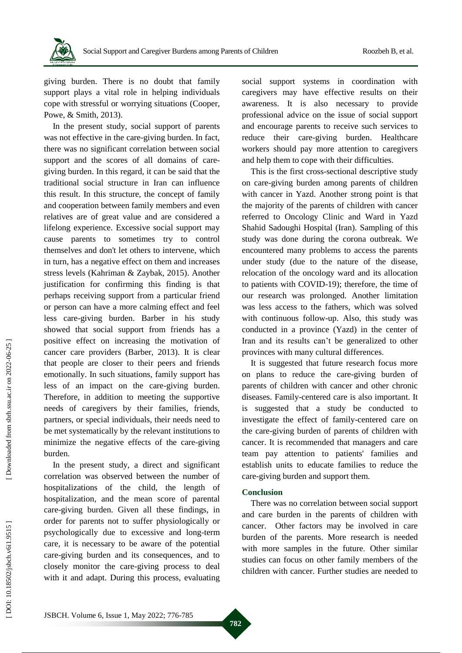

giving burden. There is no doubt that family support plays a vital role in helping individuals cope with stressful or worrying situations (Cooper, Powe, & Smith, 2013) .

In the present study, social support of parents was not effective in the care -giving burden. In fact, there was no significant correlation between social support and the scores of all domains of care giving burden . In this regard, it can be said that the traditional social structure in Iran can influence this result. In this structure, the concept of family and cooperation between family members and even relatives are of great value and are considered a lifelong experience. Excessive social support may cause parents to sometimes try to control themselves and don't let others to intervene, which in turn , has a negative effect on them and increases stress levels (Kahriman & Zaybak, 2015) . Another justification for confirming this finding is that perhaps receiving support from a particular friend or person can have a more calming effect and feel less care -giving burden. Barber in his study showed that social support from friends has a positive effect on increasing the motivation of cancer care providers (Barber, 2013) . It is clear that people are closer to their peers and friends emotionally. In such situations, family support has less of an impact on the care -giving burden. Therefore, in addition to meeting the supportive needs of caregivers by their families, friends, partners, or special individuals, their needs need to be met systematically by the relevant institutions to minimize the negative effects of the care -giving burden.

In the present study, a direct and significant correlation was observed between the number of hospitalizations of the child, the length of hospitalization , and the mean score of parental care -giving burden. Given all these findings, in order for parents not to suffer physiologically or psychologically due to excessive and long -term care, it is necessary to be aware of the potential care -giving burden and its consequences, and to closely monitor the care -giving process to deal with it and adapt. During this process, evaluating

social support systems in coordination with caregivers may have effective results on their awareness. It is also necessary to provide professional advice on the issue of social support and encourage parents to receive such services to reduce their care -giving burden. Healthcare workers should pay more attention to caregivers and help them to cope with their difficulties.

This is the first cross -sectional descriptive study on care -giving burden among parents of children with cancer in Yazd. Another strong point is that the majority of the parents of children with cancer referred to Oncology Clinic and Ward in Yazd Shahid Sadoughi Hospital (Iran). Sampling of this study was done during the corona outbreak. We encountered many problems to access the parents under study (due to the nature of the disease, relocation of the oncology ward and its allocation to patients with COVID -19) ; therefore , the time of our research was prolonged. Another limitation was less access to the fathers, which was solved with continuous follow -up. Also, this study was conducted in a province (Yazd) in the center of Iran and its results can't be generalized to other provinces with many cultural differences .

It is suggested that future research focus more on plans to reduce the care -giving burden of parents of children with cancer and other chronic diseases. Family -centered care is also important. It is suggested that a study be conducted to investigate the effect of family -centered care on the care -giving burden of parents of children with cancer. It is recommended that managers and care team pay attention to patients' families and establish units to educate families to reduce the care -giving burden and support them.

#### **Conclusion**

There was no correlation between social support and care burden in the parents of children with cancer. Other factors may be involved in care burden of the parents. More research is needed with more samples in the future . Other similar studies can focus on other family members of the children with cancer. Further studies are needed to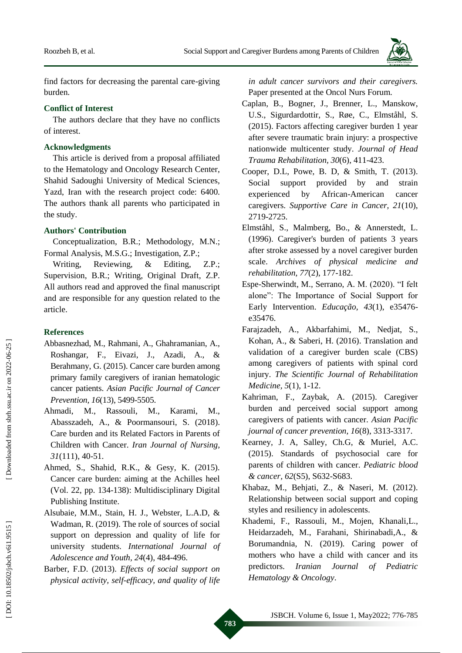

find factors for decreasing the parental care -giving burden.

### **Conflict of Interest**

The authors declare that they have no conflicts of interest.

## **Acknowledgments**

This article is derived from a proposal affiliated to the Hematology and Oncology Research Center, Shahid Sadoughi University of Medical Sciences, Yazd, Iran with the research project code: 6400. The authors thank all parents who participated in the study.

# **Authors' Contribution**

Conceptualization, B.R.; Methodology, M.N. ; Formal Analysis, M.S.G.; Investigation, Z.P.;

Writing Reviewing, & Editing, Z.P.; Supervision, B.R.; Writing, Original Draft, Z.P. All authors read and approved the final manuscript and are responsible for any question related to the article.

# **References**

- Abbasnezhad, M ., Rahmani, A ., Ghahramanian, A ., Roshangar, F ., Eivazi, J ., Azadi, A ., & Berahmany, G. (2015). Cancer care burden among primary family caregivers of iranian hematologic cancer patients. *Asian Pacific Journal of Cancer Prevention, 16*(13), 5499 -5505.
- Ahmadi, ., Rassouli, M ., Karami, M ., Abasszadeh, A ., & Poormansouri, S. (2018). Care burden and its Related Factors in Parents of Children with Cancer. *Iran Journal of Nursing, 31*(111), 40 -51.
- Ahmed, S., Shahid, R.K., & Gesy, K. (2015). Cancer care burden: aiming at the Achilles heel (Vol. 22, pp. 134 -138): Multidisciplinary Digital Publishing Institute.
- Alsubaie, M.M., Stain, H. J., Webster, L.A.D, & Wadman, R. (2019). The role of sources of social support on depression and quality of life for university students. *International Journal of Adolescence and Youth, 24*(4), 484 -496.
- Barber, F .D. (2013). *Effects of social support on physical activity, self-efficacy, and quality of life*

*in adult cancer survivors and their caregivers.* Paper presented at the Oncol Nurs Forum.

- Caplan, B ., Bogner, J ., Brenner, L ., Manskow, U . S ., Sigurdardottir, S ., Røe, C ., Elmståhl, S. (2015). Factors affecting caregiver burden 1 year after severe traumatic brain injury: a prospective nationwide multicenter study. *Journal of Head Trauma Rehabilitation, 30*(6), 411 -423.
- Cooper, D .L, Powe, B . D, & Smith, T. (2013). Social support provided by and strain experienced by African-American cancer caregivers. *Supportive Care in Cancer, 21*(10), 2719 -2725.
- Elmståhl, S ., Malmberg, Bo ., & Annerstedt, L. (1996). Caregiver's burden of patients 3 years after stroke assessed by a novel caregiver burden scale. *Archives of physical medicine and rehabilitation, 77*(2), 177 -182.
- Espe -Sherwindt, M ., Serrano, A . M. (2020). "I felt alone": The Importance of Social Support for Early Intervention. *Educação, 43*(1), e35476 e35476.
- Farajzadeh, A ., Akbarfahimi, M ., Nedjat, S ., Kohan, A ., & Saberi, H. (2016). Translation and validation of a caregiver burden scale (CBS) among caregivers of patients with spinal cord injury. *The Scientific Journal of Rehabilitation Medicine, 5*(1), 1 -12.
- Kahriman, F ., Zaybak, A. (2015). Caregiver burden and perceived social support among caregivers of patients with cancer. *Asian Pacific journal of cancer prevention, 16*(8), 3313 -3317.
- Kearney, J . A, Salley, Ch .G, & Muriel, A .C. (2015). Standards of psychosocial care for parents of children with cancer. *Pediatric blood & cancer, 62*(S5), S632 -S683.
- Khabaz, M ., Behjati, Z ., & Naseri, M. (2012). Relationship between social support and coping styles and resiliency in adolescents.
- Khademi, F., Rassouli, M., Mojen, Khanali,L., Heidarzadeh, M ., Farahani, Shirinabadi,A., & Borumandnia, N. (2019). Caring power of mothers who have a child with cancer and its predictors. *Iranian Journal of Pediatric Hematology & Oncology*.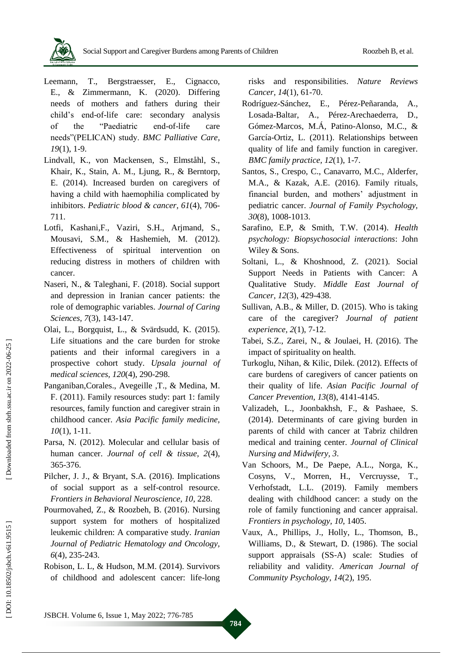

- Leemann, T ., Bergstraesser, E ., Cignacco, E ., & Zimmermann, K. (2020). Differing needs of mothers and fathers during their child's end -of-life care: secondary analysis of the "Paediatric end-of-life care needs"(PELICAN) study. *BMC Palliative Care, 19*(1), 1 -9.
- Lindvall, K ., von Mackensen, S ., Elmståhl, S ., Khair, K., Stain, A. M., Ljung, R., & Berntorp, E. (2014). Increased burden on caregivers of having a child with haemophilia complicated by inhibitors. *Pediatric blood & cancer, 61*(4), 706 - 711.
- Lotfi, Kashani, F., Vaziri, S.H., Arjmand, S., Mousavi, S.M., & Hashemieh, M. (2012). Effectiveness of spiritual intervention on reducing distress in mothers of children with cancer.
- Naseri, N ., & Taleghani, F. (2018). Social support and depression in Iranian cancer patients: the role of demographic variables. *Journal of Caring Sciences, 7*(3), 143 -147.
- Olai, L ., Borgquist, L ., & Svärdsudd, K. (2015). Life situations and the care burden for stroke patients and their informal caregivers in a prospective cohort study. *Upsala journal of medical sciences, 120*(4), 290 -298.
- Panganiban, Corales., Avegeille , T., & Medina, M. F. (2011). Family resources study: part 1: family resources, family function and caregiver strain in childhood cancer. *Asia Pacific family medicine, 10*(1), 1 -11.
- Parsa, N. (2012). Molecular and cellular basis of human cancer. *Journal of cell & tissue, 2*(4), 365 -376.
- Pilcher, J. J., & Bryant, S.A. (2016). Implications of social support as a self -control resource. *Frontiers in Behavioral Neuroscience, 10*, 228.
- Pourmovahed, Z ., & Roozbeh, B. (2016). Nursing support system for mothers of hospitalized leukemic children: A comparative study. *Iranian Journal of Pediatric Hematology and Oncology, 6*(4), 235-243.
- Robison, L. L, & Hudson, M.M. (2014). Survivors of childhood and adolescent cancer: life -long

risks and responsibilities. *Nature Reviews Cancer, 14*(1), 61 -70.

- Rodríguez -Sánchez, E ., Pérez -Peñaranda, A A., Losada -Baltar, A ., Pérez -Arechaederra, D D., Gómez -Marcos, M .Á, Patino -Alonso, M . C ., & García -Ortiz, L. (2011). Relationships between quality of life and family function in caregiver. *BMC family practice, 12*(1), 1 -7.
- Santos, S., Crespo, C., Canavarro, M.C., Alderfer, M . A ., & Kazak, A .E. (2016). Family rituals, financial burden, and mothers' adjustment in pediatric cancer. *Journal of Family Psychology, 30*(8), 1008 -1013.
- Sarafino, E .P, & Smith, T .W. (2014). *Health psychology: Biopsychosocial interactions*: John Wiley & Sons.
- Soltani, L ., & Khoshnood, Z. (2021). Social Support Needs in Patients with Cancer: A Qualitative Study. *Middle East Journal of Cancer, 12*(3), 429 -438.
- Sullivan, A.B., & Miller, D. (2015). Who is taking care of the caregiver? *Journal of patient experience, 2*(1), 7 -12.
- Tabei, S . Z ., Zarei, N ., & Joulaei, H. (2016). The impact of spirituality on health.
- Turkoglu, Nihan, & Kilic, Dilek. (2012). Effects of care burdens of caregivers of cancer patients on their quality of life. *Asian Pacific Journal of Cancer Prevention, 13* (8), 4141 -4145.
- Valizadeh, L ., Joonbakhsh, F ., & Pashaee, S. (2014). Determinants of care giving burden in parents of child with cancer at Tabriz children medical and training center. *Journal of Clinical Nursing and Midwifery, 3*.
- Van Schoors, M., De Paepe, A.L., Norga, K., Cosyns, V ., Morren, H ., Vercruysse, T ., Verhofstadt, L .L. (2019). Family members dealing with childhood cancer: a study on the role of family functioning and cancer appraisal. *Frontiers in psychology, 10*, 1405.
- Vaux, A., Phillips, J., Holly, L., Thomson, B., Williams, D ., & Stewart, D. (1986). The social support appraisals (SS -A) scale: Studies of reliability and validity. *American Journal of Community Psychology, 14*(2), 195.